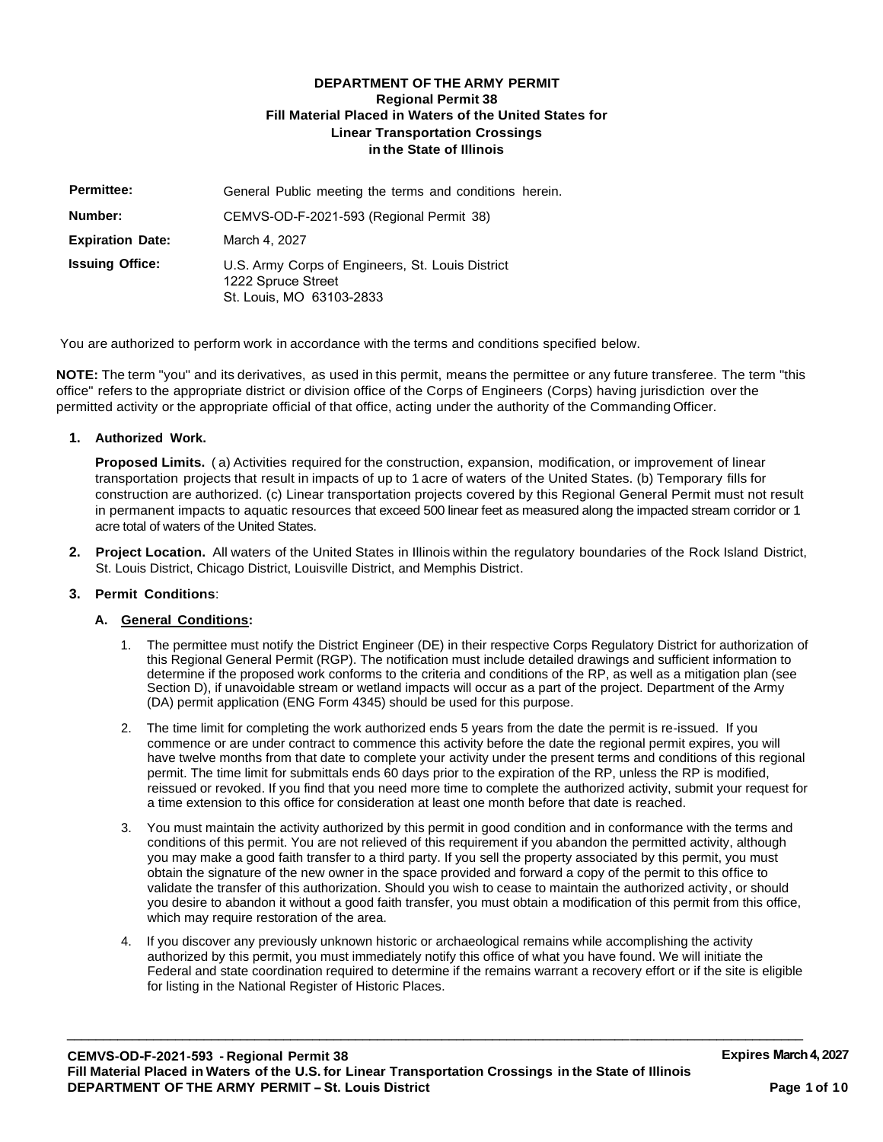### **DEPARTMENT OF THE ARMY PERMIT Regional Permit 38 Fill Material Placed in Waters of the United States for Linear Transportation Crossings in the State of Illinois**

| <b>Permittee:</b>       | General Public meeting the terms and conditions herein.                                            |
|-------------------------|----------------------------------------------------------------------------------------------------|
| Number:                 | CEMVS-OD-F-2021-593 (Regional Permit 38)                                                           |
| <b>Expiration Date:</b> | March 4, 2027                                                                                      |
| <b>Issuing Office:</b>  | U.S. Army Corps of Engineers, St. Louis District<br>1222 Spruce Street<br>St. Louis, MO 63103-2833 |

You are authorized to perform work in accordance with the terms and conditions specified below.

**NOTE:** The term "you" and its derivatives, as used in this permit, means the permittee or any future transferee. The term "this office" refers to the appropriate district or division office of the Corps of Engineers (Corps) having jurisdiction over the permitted activity or the appropriate official of that office, acting under the authority of the Commanding Officer.

#### **1. Authorized Work.**

**Proposed Limits.** ( a) Activities required for the construction, expansion, modification, or improvement of linear transportation projects that result in impacts of up to 1 acre of waters of the United States. (b) Temporary fills for construction are authorized. (c) Linear transportation projects covered by this Regional General Permit must not result in permanent impacts to aquatic resources that exceed 500 linear feet as measured along the impacted stream corridor or 1 acre total of waters of the United States.

**2. Project Location.** All waters of the United States in Illinois within the regulatory boundaries of the Rock Island District, St. Louis District, Chicago District, Louisville District, and Memphis District.

### **3. Permit Conditions**:

#### **A. General Conditions:**

- 1. The permittee must notify the District Engineer (DE) in their respective Corps Regulatory District for authorization of this Regional General Permit (RGP). The notification must include detailed drawings and sufficient information to determine if the proposed work conforms to the criteria and conditions of the RP, as well as a mitigation plan (see Section D), if unavoidable stream or wetland impacts will occur as a part of the project. Department of the Army (DA) permit application (ENG Form 4345) should be used for this purpose.
- 2. The time limit for completing the work authorized ends 5 years from the date the permit is re-issued. If you commence or are under contract to commence this activity before the date the regional permit expires, you will have twelve months from that date to complete your activity under the present terms and conditions of this regional permit. The time limit for submittals ends 60 days prior to the expiration of the RP, unless the RP is modified, reissued or revoked. If you find that you need more time to complete the authorized activity, submit your request for a time extension to this office for consideration at least one month before that date is reached.
- 3. You must maintain the activity authorized by this permit in good condition and in conformance with the terms and conditions of this permit. You are not relieved of this requirement if you abandon the permitted activity, although you may make a good faith transfer to a third party. If you sell the property associated by this permit, you must obtain the signature of the new owner in the space provided and forward a copy of the permit to this office to validate the transfer of this authorization. Should you wish to cease to maintain the authorized activity, or should you desire to abandon it without a good faith transfer, you must obtain a modification of this permit from this office, which may require restoration of the area.
- 4. If you discover any previously unknown historic or archaeological remains while accomplishing the activity authorized by this permit, you must immediately notify this office of what you have found. We will initiate the Federal and state coordination required to determine if the remains warrant a recovery effort or if the site is eligible for listing in the National Register of Historic Places.

 $\overline{\phantom{a}}$  , and the set of the set of the set of the set of the set of the set of the set of the set of the set of the set of the set of the set of the set of the set of the set of the set of the set of the set of the s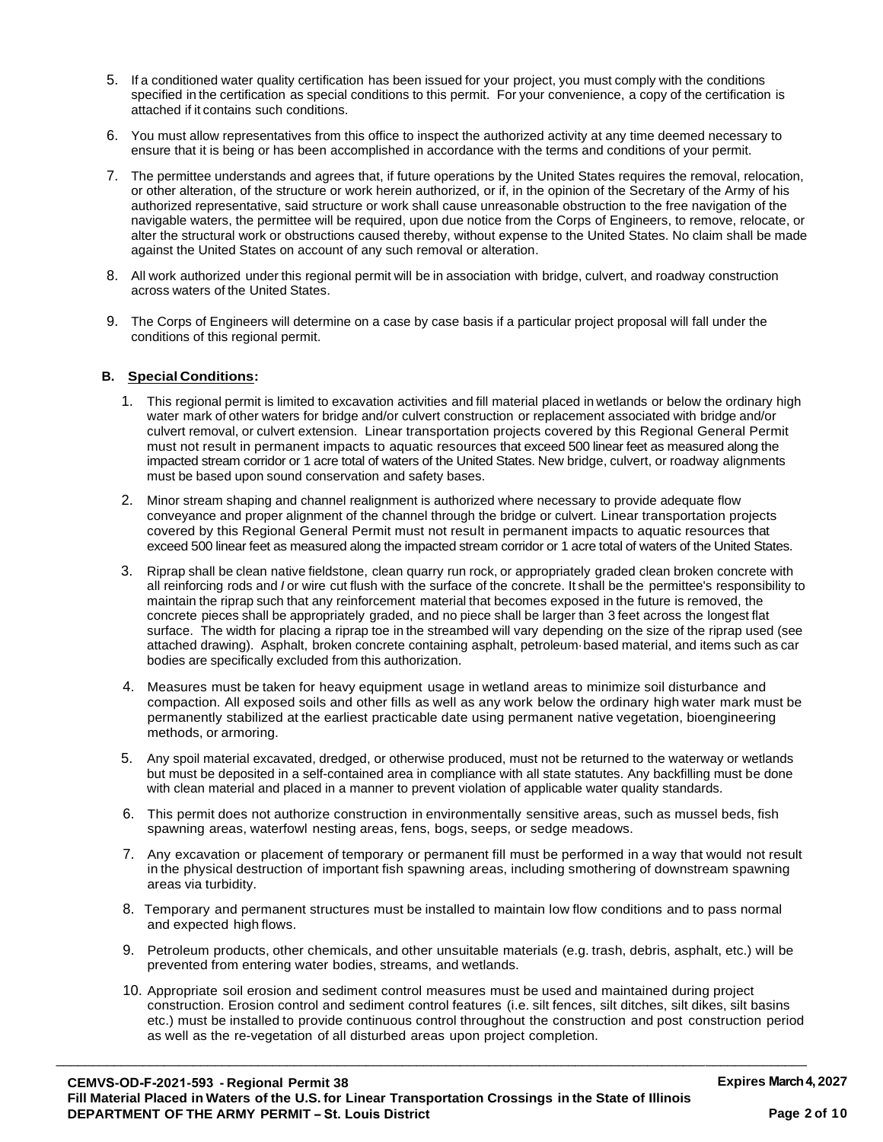- 5. If a conditioned water quality certification has been issued for your project, you must comply with the conditions specified in the certification as special conditions to this permit. For your convenience, a copy of the certification is attached if it contains such conditions.
- 6. You must allow representatives from this office to inspect the authorized activity at any time deemed necessary to ensure that it is being or has been accomplished in accordance with the terms and conditions of your permit.
- 7. The permittee understands and agrees that, if future operations by the United States requires the removal, relocation, or other alteration, of the structure or work herein authorized, or if, in the opinion of the Secretary of the Army of his authorized representative, said structure or work shall cause unreasonable obstruction to the free navigation of the navigable waters, the permittee will be required, upon due notice from the Corps of Engineers, to remove, relocate, or alter the structural work or obstructions caused thereby, without expense to the United States. No claim shall be made against the United States on account of any such removal or alteration.
- 8. All work authorized under this regional permit will be in association with bridge, culvert, and roadway construction across waters of the United States.
- 9. The Corps of Engineers will determine on a case by case basis if a particular project proposal will fall under the conditions of this regional permit.

### **B. Special Conditions:**

- 1. This regional permit is limited to excavation activities and fill material placed in wetlands or below the ordinary high water mark of other waters for bridge and/or culvert construction or replacement associated with bridge and/or culvert removal, or culvert extension. Linear transportation projects covered by this Regional General Permit must not result in permanent impacts to aquatic resources that exceed 500 linear feet as measured along the impacted stream corridor or 1 acre total of waters of the United States. New bridge, culvert, or roadway alignments must be based upon sound conservation and safety bases.
- 2. Minor stream shaping and channel realignment is authorized where necessary to provide adequate flow conveyance and proper alignment of the channel through the bridge or culvert. Linear transportation projects covered by this Regional General Permit must not result in permanent impacts to aquatic resources that exceed 500 linear feet as measured along the impacted stream corridor or 1 acre total of waters of the United States.
- 3. Riprap shall be clean native fieldstone, clean quarry run rock, or appropriately graded clean broken concrete with all reinforcing rods and *I* or wire cut flush with the surface of the concrete. It shall be the permittee's responsibility to maintain the riprap such that any reinforcement material that becomes exposed in the future is removed, the concrete pieces shall be appropriately graded, and no piece shall be larger than 3 feet across the longest flat surface. The width for placing a riprap toe in the streambed will vary depending on the size of the riprap used (see attached drawing). Asphalt, broken concrete containing asphalt, petroleum·based material, and items such as car bodies are specifically excluded from this authorization.
- 4. Measures must be taken for heavy equipment usage in wetland areas to minimize soil disturbance and compaction. All exposed soils and other fills as well as any work below the ordinary high water mark must be permanently stabilized at the earliest practicable date using permanent native vegetation, bioengineering methods, or armoring.
- 5. Any spoil material excavated, dredged, or otherwise produced, must not be returned to the waterway or wetlands but must be deposited in a self-contained area in compliance with all state statutes. Any backfilling must be done with clean material and placed in a manner to prevent violation of applicable water quality standards.
- 6. This permit does not authorize construction in environmentally sensitive areas, such as mussel beds, fish spawning areas, waterfowl nesting areas, fens, bogs, seeps, or sedge meadows.
- 7. Any excavation or placement of temporary or permanent fill must be performed in a way that would not result in the physical destruction of important fish spawning areas, including smothering of downstream spawning areas via turbidity.
- 8. Temporary and permanent structures must be installed to maintain low flow conditions and to pass normal and expected high flows.
- 9. Petroleum products, other chemicals, and other unsuitable materials (e.g. trash, debris, asphalt, etc.) will be prevented from entering water bodies, streams, and wetlands.
- 10. Appropriate soil erosion and sediment control measures must be used and maintained during project construction. Erosion control and sediment control features (i.e. silt fences, silt ditches, silt dikes, silt basins etc.) must be installed to provide continuous control throughout the construction and post construction period as well as the re-vegetation of all disturbed areas upon project completion.

\_\_\_\_\_\_\_\_\_\_\_\_\_\_\_\_\_\_\_\_\_\_\_\_\_\_\_\_\_\_\_\_\_\_\_\_\_\_\_\_\_\_\_\_\_\_\_\_\_\_\_\_\_\_\_\_\_\_\_\_\_\_\_\_\_\_\_\_\_\_\_\_\_\_\_\_\_\_\_\_\_\_\_\_\_\_\_\_\_\_\_\_\_\_\_\_\_\_\_\_\_\_\_\_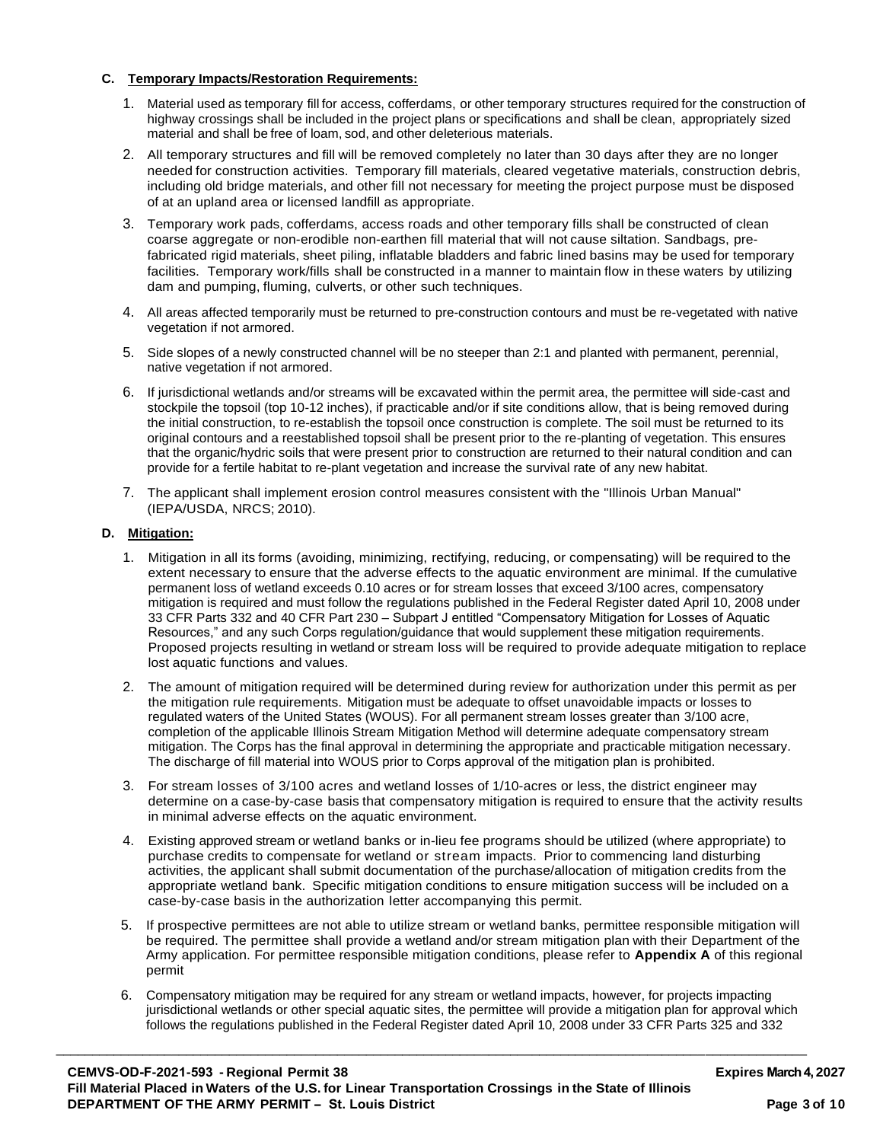### **C. Temporary Impacts/Restoration Requirements:**

- 1. Material used as temporary fill for access, cofferdams, or other temporary structures required for the construction of highway crossings shall be included in the project plans or specifications and shall be clean, appropriately sized material and shall be free of loam, sod, and other deleterious materials.
- 2. All temporary structures and fill will be removed completely no later than 30 days after they are no longer needed for construction activities. Temporary fill materials, cleared vegetative materials, construction debris, including old bridge materials, and other fill not necessary for meeting the project purpose must be disposed of at an upland area or licensed landfill as appropriate.
- 3. Temporary work pads, cofferdams, access roads and other temporary fills shall be constructed of clean coarse aggregate or non-erodible non-earthen fill material that will not cause siltation. Sandbags, prefabricated rigid materials, sheet piling, inflatable bladders and fabric lined basins may be used for temporary facilities. Temporary work/fills shall be constructed in a manner to maintain flow in these waters by utilizing dam and pumping, fluming, culverts, or other such techniques.
- 4. All areas affected temporarily must be returned to pre-construction contours and must be re-vegetated with native vegetation if not armored.
- 5. Side slopes of a newly constructed channel will be no steeper than 2:1 and planted with permanent, perennial, native vegetation if not armored.
- 6. If jurisdictional wetlands and/or streams will be excavated within the permit area, the permittee will side-cast and stockpile the topsoil (top 10-12 inches), if practicable and/or if site conditions allow, that is being removed during the initial construction, to re-establish the topsoil once construction is complete. The soil must be returned to its original contours and a reestablished topsoil shall be present prior to the re-planting of vegetation. This ensures that the organic/hydric soils that were present prior to construction are returned to their natural condition and can provide for a fertile habitat to re-plant vegetation and increase the survival rate of any new habitat.
- 7. The applicant shall implement erosion control measures consistent with the "Illinois Urban Manual" (IEPA/USDA, NRCS; 2010).

### **D. Mitigation:**

- 1. Mitigation in all its forms (avoiding, minimizing, rectifying, reducing, or compensating) will be required to the extent necessary to ensure that the adverse effects to the aquatic environment are minimal. If the cumulative permanent loss of wetland exceeds 0.10 acres or for stream losses that exceed 3/100 acres, compensatory mitigation is required and must follow the regulations published in the Federal Register dated April 10, 2008 under 33 CFR Parts 332 and 40 CFR Part 230 – Subpart J entitled "Compensatory Mitigation for Losses of Aquatic Resources," and any such Corps regulation/guidance that would supplement these mitigation requirements. Proposed projects resulting in wetland or stream loss will be required to provide adequate mitigation to replace lost aquatic functions and values.
- 2. The amount of mitigation required will be determined during review for authorization under this permit as per the mitigation rule requirements. Mitigation must be adequate to offset unavoidable impacts or losses to regulated waters of the United States (WOUS). For all permanent stream losses greater than 3/100 acre, completion of the applicable Illinois Stream Mitigation Method will determine adequate compensatory stream mitigation. The Corps has the final approval in determining the appropriate and practicable mitigation necessary. The discharge of fill material into WOUS prior to Corps approval of the mitigation plan is prohibited.
- 3. For stream losses of 3/100 acres and wetland losses of 1/10-acres or less, the district engineer may determine on a case-by-case basis that compensatory mitigation is required to ensure that the activity results in minimal adverse effects on the aquatic environment.
- 4. Existing approved stream or wetland banks or in-lieu fee programs should be utilized (where appropriate) to purchase credits to compensate for wetland or stream impacts. Prior to commencing land disturbing activities, the applicant shall submit documentation of the purchase/allocation of mitigation credits from the appropriate wetland bank. Specific mitigation conditions to ensure mitigation success will be included on a case-by-case basis in the authorization letter accompanying this permit.
- 5. If prospective permittees are not able to utilize stream or wetland banks, permittee responsible mitigation will be required. The permittee shall provide a wetland and/or stream mitigation plan with their Department of the Army application. For permittee responsible mitigation conditions, please refer to **Appendix A** of this regional permit
- 6. Compensatory mitigation may be required for any stream or wetland impacts, however, for projects impacting jurisdictional wetlands or other special aquatic sites, the permittee will provide a mitigation plan for approval which follows the regulations published in the Federal Register dated April 10, 2008 under 33 CFR Parts 325 and 332

\_\_\_\_\_\_\_\_\_\_\_\_\_\_\_\_\_\_\_\_\_\_\_\_\_\_\_\_\_\_\_\_\_\_\_\_\_\_\_\_\_\_\_\_\_\_\_\_\_\_\_\_\_\_\_\_\_\_\_\_\_\_\_\_\_\_\_\_\_\_\_\_\_\_\_\_\_\_\_\_\_\_\_\_\_\_\_\_\_\_\_\_\_\_\_\_\_\_\_\_\_\_\_\_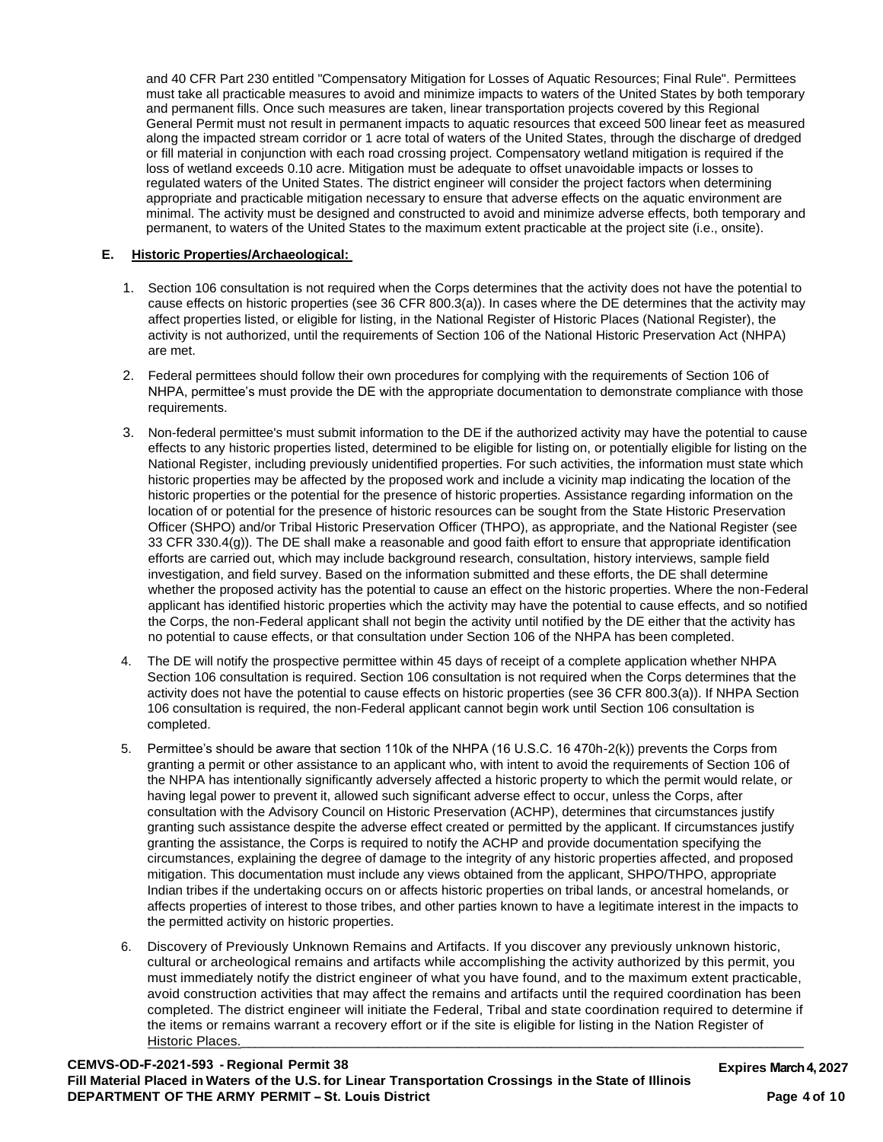and 40 CFR Part 230 entitled "Compensatory Mitigation for Losses of Aquatic Resources; Final Rule". Permittees must take all practicable measures to avoid and minimize impacts to waters of the United States by both temporary and permanent fills. Once such measures are taken, linear transportation projects covered by this Regional General Permit must not result in permanent impacts to aquatic resources that exceed 500 linear feet as measured along the impacted stream corridor or 1 acre total of waters of the United States, through the discharge of dredged or fill material in conjunction with each road crossing project. Compensatory wetland mitigation is required if the loss of wetland exceeds 0.10 acre. Mitigation must be adequate to offset unavoidable impacts or losses to regulated waters of the United States. The district engineer will consider the project factors when determining appropriate and practicable mitigation necessary to ensure that adverse effects on the aquatic environment are minimal. The activity must be designed and constructed to avoid and minimize adverse effects, both temporary and permanent, to waters of the United States to the maximum extent practicable at the project site (i.e., onsite).

### **E. Historic Properties/Archaeological:**

- 1. Section 106 consultation is not required when the Corps determines that the activity does not have the potential to cause effects on historic properties (see 36 CFR 800.3(a)). In cases where the DE determines that the activity may affect properties listed, or eligible for listing, in the National Register of Historic Places (National Register), the activity is not authorized, until the requirements of Section 106 of the National Historic Preservation Act (NHPA) are met.
- 2. Federal permittees should follow their own procedures for complying with the requirements of Section 106 of NHPA, permittee's must provide the DE with the appropriate documentation to demonstrate compliance with those requirements.
- 3. Non-federal permittee's must submit information to the DE if the authorized activity may have the potential to cause effects to any historic properties listed, determined to be eligible for listing on, or potentially eligible for listing on the National Register, including previously unidentified properties. For such activities, the information must state which historic properties may be affected by the proposed work and include a vicinity map indicating the location of the historic properties or the potential for the presence of historic properties. Assistance regarding information on the location of or potential for the presence of historic resources can be sought from the State Historic Preservation Officer (SHPO) and/or Tribal Historic Preservation Officer (THPO), as appropriate, and the National Register (see 33 CFR 330.4(g)). The DE shall make a reasonable and good faith effort to ensure that appropriate identification efforts are carried out, which may include background research, consultation, history interviews, sample field investigation, and field survey. Based on the information submitted and these efforts, the DE shall determine whether the proposed activity has the potential to cause an effect on the historic properties. Where the non-Federal applicant has identified historic properties which the activity may have the potential to cause effects, and so notified the Corps, the non-Federal applicant shall not begin the activity until notified by the DE either that the activity has no potential to cause effects, or that consultation under Section 106 of the NHPA has been completed.
- 4. The DE will notify the prospective permittee within 45 days of receipt of a complete application whether NHPA Section 106 consultation is required. Section 106 consultation is not required when the Corps determines that the activity does not have the potential to cause effects on historic properties (see 36 CFR 800.3(a)). If NHPA Section 106 consultation is required, the non-Federal applicant cannot begin work until Section 106 consultation is completed.
- 5. Permittee's should be aware that section 110k of the NHPA (16 U.S.C. 16 470h-2(k)) prevents the Corps from granting a permit or other assistance to an applicant who, with intent to avoid the requirements of Section 106 of the NHPA has intentionally significantly adversely affected a historic property to which the permit would relate, or having legal power to prevent it, allowed such significant adverse effect to occur, unless the Corps, after consultation with the Advisory Council on Historic Preservation (ACHP), determines that circumstances justify granting such assistance despite the adverse effect created or permitted by the applicant. If circumstances justify granting the assistance, the Corps is required to notify the ACHP and provide documentation specifying the circumstances, explaining the degree of damage to the integrity of any historic properties affected, and proposed mitigation. This documentation must include any views obtained from the applicant, SHPO/THPO, appropriate Indian tribes if the undertaking occurs on or affects historic properties on tribal lands, or ancestral homelands, or affects properties of interest to those tribes, and other parties known to have a legitimate interest in the impacts to the permitted activity on historic properties.
- 6. Discovery of Previously Unknown Remains and Artifacts. If you discover any previously unknown historic, cultural or archeological remains and artifacts while accomplishing the activity authorized by this permit, you must immediately notify the district engineer of what you have found, and to the maximum extent practicable, avoid construction activities that may affect the remains and artifacts until the required coordination has been completed. The district engineer will initiate the Federal, Tribal and state coordination required to determine if the items or remains warrant a recovery effort or if the site is eligible for listing in the Nation Register of Historic Places.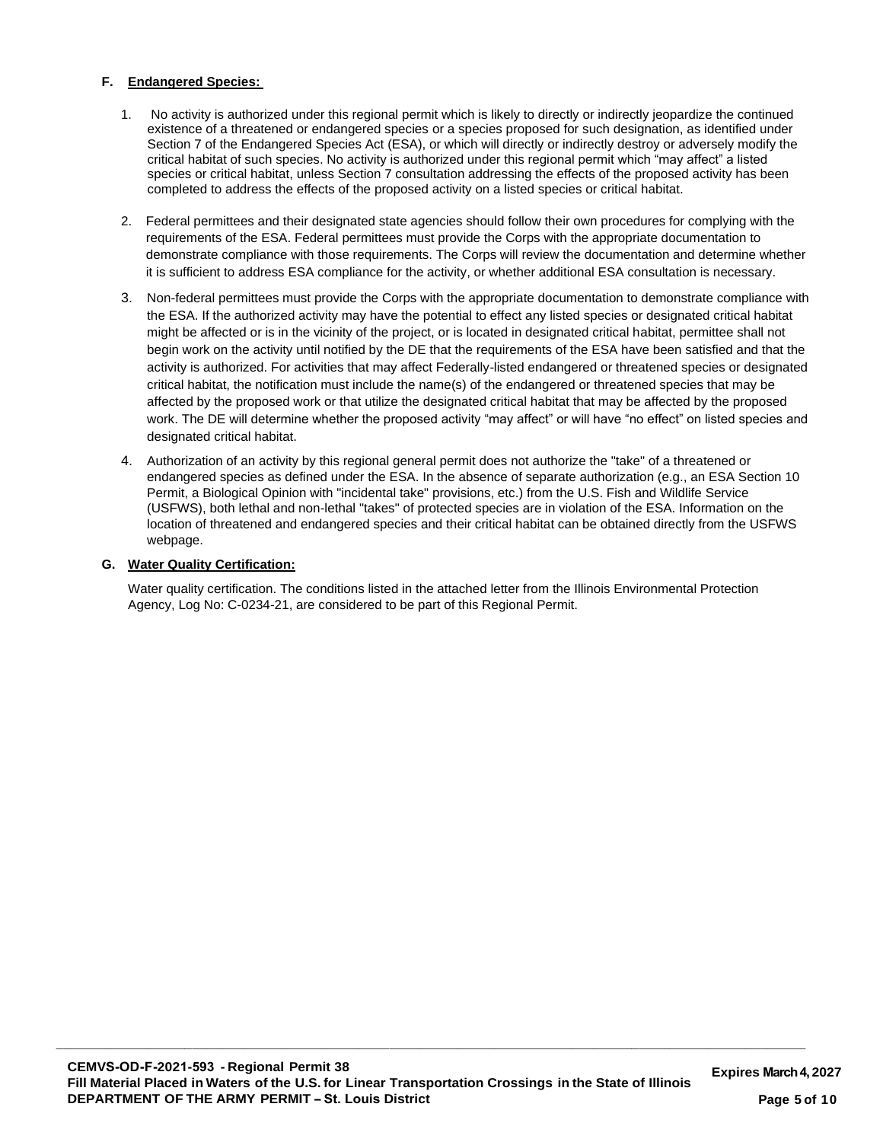### **F. Endangered Species:**

- 1. No activity is authorized under this regional permit which is likely to directly or indirectly jeopardize the continued existence of a threatened or endangered species or a species proposed for such designation, as identified under Section 7 of the Endangered Species Act (ESA), or which will directly or indirectly destroy or adversely modify the critical habitat of such species. No activity is authorized under this regional permit which "may affect" a listed species or critical habitat, unless Section 7 consultation addressing the effects of the proposed activity has been completed to address the effects of the proposed activity on a listed species or critical habitat.
- 2. Federal permittees and their designated state agencies should follow their own procedures for complying with the requirements of the ESA. Federal permittees must provide the Corps with the appropriate documentation to demonstrate compliance with those requirements. The Corps will review the documentation and determine whether it is sufficient to address ESA compliance for the activity, or whether additional ESA consultation is necessary.
- 3. Non-federal permittees must provide the Corps with the appropriate documentation to demonstrate compliance with the ESA. If the authorized activity may have the potential to effect any listed species or designated critical habitat might be affected or is in the vicinity of the project, or is located in designated critical habitat, permittee shall not begin work on the activity until notified by the DE that the requirements of the ESA have been satisfied and that the activity is authorized. For activities that may affect Federally-listed endangered or threatened species or designated critical habitat, the notification must include the name(s) of the endangered or threatened species that may be affected by the proposed work or that utilize the designated critical habitat that may be affected by the proposed work. The DE will determine whether the proposed activity "may affect" or will have "no effect" on listed species and designated critical habitat.
- 4. Authorization of an activity by this regional general permit does not authorize the "take" of a threatened or endangered species as defined under the ESA. In the absence of separate authorization (e.g., an ESA Section 10 Permit, a Biological Opinion with "incidental take" provisions, etc.) from the U.S. Fish and Wildlife Service (USFWS), both lethal and non-lethal "takes" of protected species are in violation of the ESA. Information on the location of threatened and endangered species and their critical habitat can be obtained directly from the USFWS webpage.

### **G. Water Quality Certification:**

Water quality certification. The conditions listed in the attached letter from the Illinois Environmental Protection Agency, Log No: C-0234-21, are considered to be part of this Regional Permit.

**\_\_\_\_\_\_\_\_\_\_\_\_\_\_\_\_\_\_\_\_\_\_\_\_\_\_\_\_\_\_\_\_\_\_\_\_\_\_\_\_\_\_\_\_\_\_\_\_\_\_\_\_\_\_\_\_\_\_\_\_\_\_\_\_\_\_\_\_\_\_\_\_\_\_\_\_\_\_\_\_\_\_\_\_\_\_\_\_\_\_\_\_\_\_\_\_\_\_\_**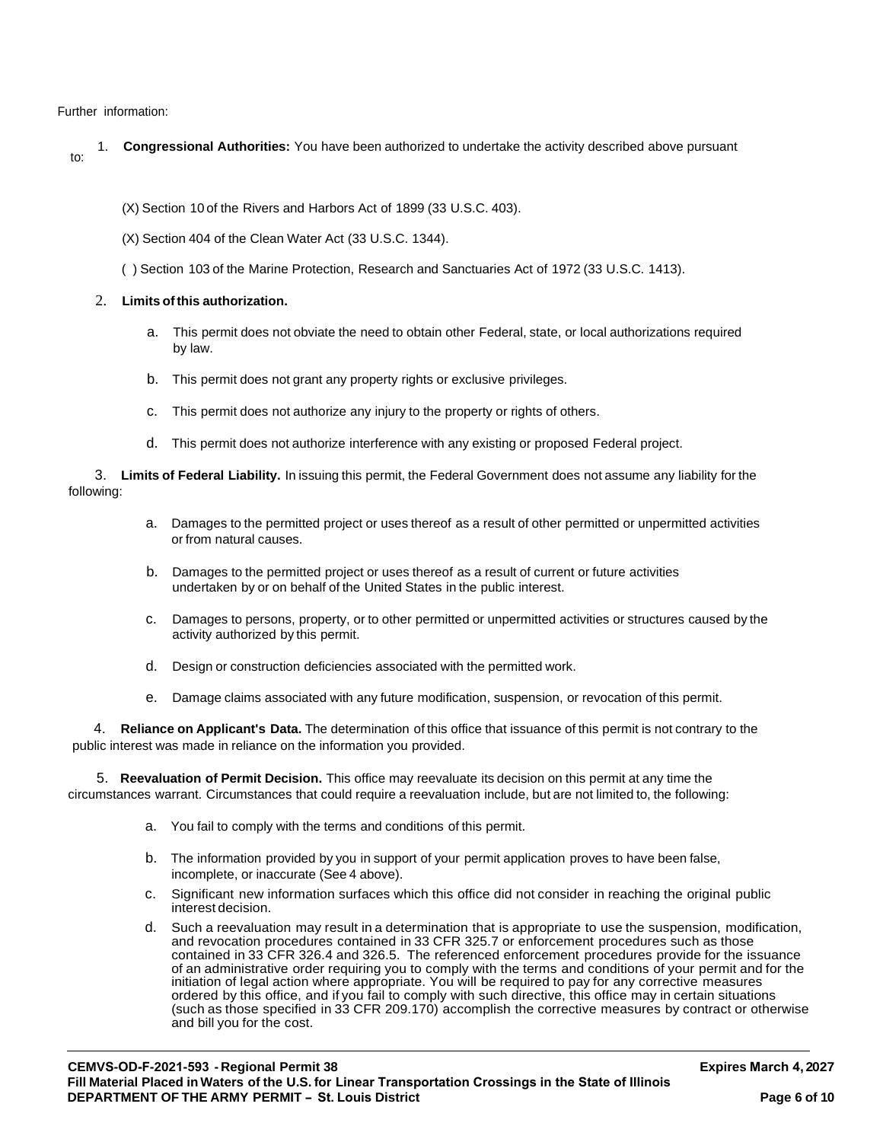Further information:

to: 1. **Congressional Authorities:** You have been authorized to undertake the activity described above pursuant

(X) Section 10 of the Rivers and Harbors Act of 1899 (33 U.S.C. 403).

(X) Section 404 of the Clean Water Act (33 U.S.C. 1344).

( ) Section 103 of the Marine Protection, Research and Sanctuaries Act of 1972 (33 U.S.C. 1413).

### 2. **Limits ofthis authorization.**

- a. This permit does not obviate the need to obtain other Federal, state, or local authorizations required by law.
- b. This permit does not grant any property rights or exclusive privileges.
- c. This permit does not authorize any injury to the property or rights of others.
- d. This permit does not authorize interference with any existing or proposed Federal project.

3. **Limits of Federal Liability.** In issuing this permit, the Federal Government does not assume any liability for the following:

- a. Damages to the permitted project or uses thereof as a result of other permitted or unpermitted activities or from natural causes.
- b. Damages to the permitted project or uses thereof as a result of current or future activities undertaken by or on behalf of the United States in the public interest.
- c. Damages to persons, property, or to other permitted or unpermitted activities or structures caused by the activity authorized by this permit.
- d. Design or construction deficiencies associated with the permitted work.
- e. Damage claims associated with any future modification, suspension, or revocation of this permit.

4. **Reliance on Applicant's Data.** The determination of this office that issuance of this permit is not contrary to the public interest was made in reliance on the information you provided.

5. **Reevaluation of Permit Decision.** This office may reevaluate its decision on this permit at any time the circumstances warrant. Circumstances that could require a reevaluation include, but are not limited to, the following:

- a. You fail to comply with the terms and conditions of this permit.
- b. The information provided by you in support of your permit application proves to have been false, incomplete, or inaccurate (See 4 above).
- c. Significant new information surfaces which this office did not consider in reaching the original public interest decision.
- d. Such a reevaluation may result in a determination that is appropriate to use the suspension, modification, and revocation procedures contained in 33 CFR 325.7 or enforcement procedures such as those contained in 33 CFR 326.4 and 326.5. The referenced enforcement procedures provide for the issuance of an administrative order requiring you to comply with the terms and conditions of your permit and for the initiation of legal action where appropriate. You will be required to pay for any corrective measures ordered by this office, and if you fail to comply with such directive, this office may in certain situations (such as those specified in 33 CFR 209.170) accomplish the corrective measures by contract or otherwise and bill you for the cost.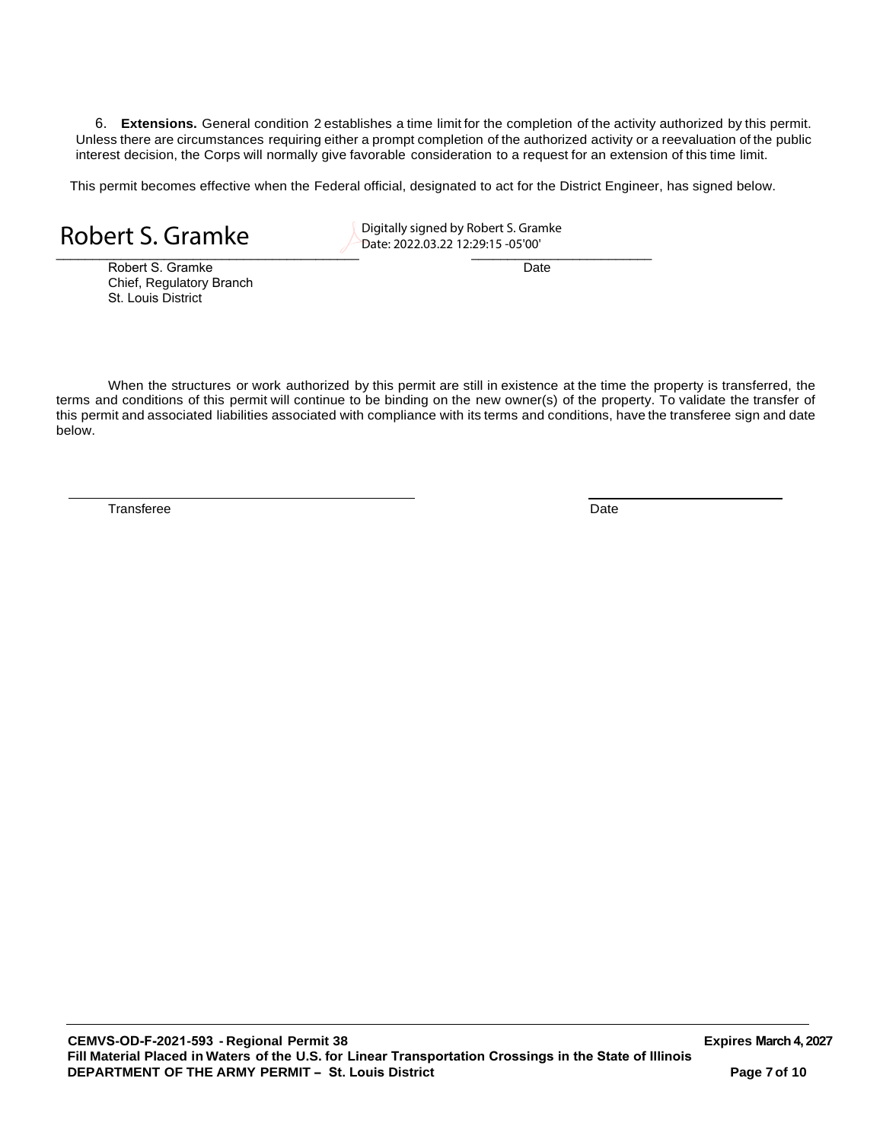6. **Extensions.** General condition 2 establishes a time limit for the completion of the activity authorized by this permit. Unless there are circumstances requiring either a prompt completion of the authorized activity or a reevaluation of the public interest decision, the Corps will normally give favorable consideration to a request for an extension of this time limit.

This permit becomes effective when the Federal official, designated to act for the District Engineer, has signed below.

Robert S. Gramke Date Date Date Date Chief, Regulatory Branch St. Louis District

 $\overline{\phantom{a}}$   $\overline{\phantom{a}}$   $\overline{\phantom{a}}$   $\overline{\phantom{a}}$   $\overline{\phantom{a}}$   $\overline{\phantom{a}}$   $\overline{\phantom{a}}$   $\overline{\phantom{a}}$   $\overline{\phantom{a}}$   $\overline{\phantom{a}}$   $\overline{\phantom{a}}$   $\overline{\phantom{a}}$   $\overline{\phantom{a}}$   $\overline{\phantom{a}}$   $\overline{\phantom{a}}$   $\overline{\phantom{a}}$   $\overline{\phantom{a}}$   $\overline{\phantom{a}}$   $\overline{\$ Robert S. Gramke Date: 2022.03.22 12:29:15 -05'00'

When the structures or work authorized by this permit are still in existence at the time the property is transferred, the terms and conditions of this permit will continue to be binding on the new owner(s) of the property. To validate the transfer of this permit and associated liabilities associated with compliance with its terms and conditions, have the transferee sign and date below.

Transferee Date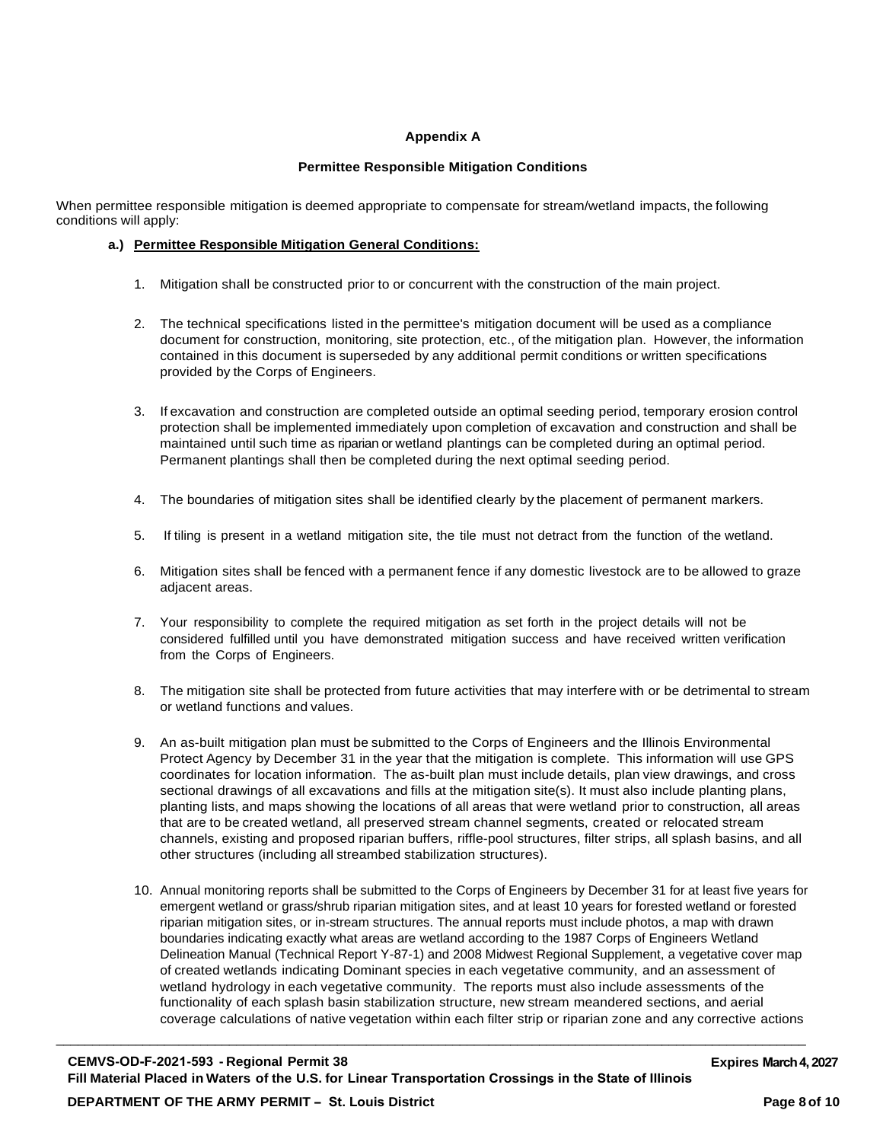### **Appendix A**

### **Permittee Responsible Mitigation Conditions**

When permittee responsible mitigation is deemed appropriate to compensate for stream/wetland impacts, the following conditions will apply:

### **a.) Permittee Responsible Mitigation General Conditions:**

- 1. Mitigation shall be constructed prior to or concurrent with the construction of the main project.
- 2. The technical specifications listed in the permittee's mitigation document will be used as a compliance document for construction, monitoring, site protection, etc., of the mitigation plan. However, the information contained in this document is superseded by any additional permit conditions or written specifications provided by the Corps of Engineers.
- 3. If excavation and construction are completed outside an optimal seeding period, temporary erosion control protection shall be implemented immediately upon completion of excavation and construction and shall be maintained until such time as riparian or wetland plantings can be completed during an optimal period. Permanent plantings shall then be completed during the next optimal seeding period.
- 4. The boundaries of mitigation sites shall be identified clearly by the placement of permanent markers.
- 5. If tiling is present in a wetland mitigation site, the tile must not detract from the function of the wetland.
- 6. Mitigation sites shall be fenced with a permanent fence if any domestic livestock are to be allowed to graze adjacent areas.
- 7. Your responsibility to complete the required mitigation as set forth in the project details will not be considered fulfilled until you have demonstrated mitigation success and have received written verification from the Corps of Engineers.
- 8. The mitigation site shall be protected from future activities that may interfere with or be detrimental to stream or wetland functions and values.
- 9. An as-built mitigation plan must be submitted to the Corps of Engineers and the Illinois Environmental Protect Agency by December 31 in the year that the mitigation is complete. This information will use GPS coordinates for location information. The as-built plan must include details, plan view drawings, and cross sectional drawings of all excavations and fills at the mitigation site(s). It must also include planting plans, planting lists, and maps showing the locations of all areas that were wetland prior to construction, all areas that are to be created wetland, all preserved stream channel segments, created or relocated stream channels, existing and proposed riparian buffers, riffle-pool structures, filter strips, all splash basins, and all other structures (including all streambed stabilization structures).
- 10. Annual monitoring reports shall be submitted to the Corps of Engineers by December 31 for at least five years for emergent wetland or grass/shrub riparian mitigation sites, and at least 10 years for forested wetland or forested riparian mitigation sites, or in-stream structures. The annual reports must include photos, a map with drawn boundaries indicating exactly what areas are wetland according to the 1987 Corps of Engineers Wetland Delineation Manual (Technical Report Y-87-1) and 2008 Midwest Regional Supplement, a vegetative cover map of created wetlands indicating Dominant species in each vegetative community, and an assessment of wetland hydrology in each vegetative community. The reports must also include assessments of the functionality of each splash basin stabilization structure, new stream meandered sections, and aerial coverage calculations of native vegetation within each filter strip or riparian zone and any corrective actions

\_\_\_\_\_\_\_\_\_\_\_\_\_\_\_\_\_\_\_\_\_\_\_\_\_\_\_\_\_\_\_\_\_\_\_\_\_\_\_\_\_\_\_\_\_\_\_\_\_\_\_\_\_\_\_\_\_\_\_\_\_\_\_\_\_\_\_\_\_\_\_\_\_\_\_\_\_\_\_\_\_\_\_\_\_\_\_\_\_\_\_\_\_\_\_\_\_\_\_\_\_\_\_\_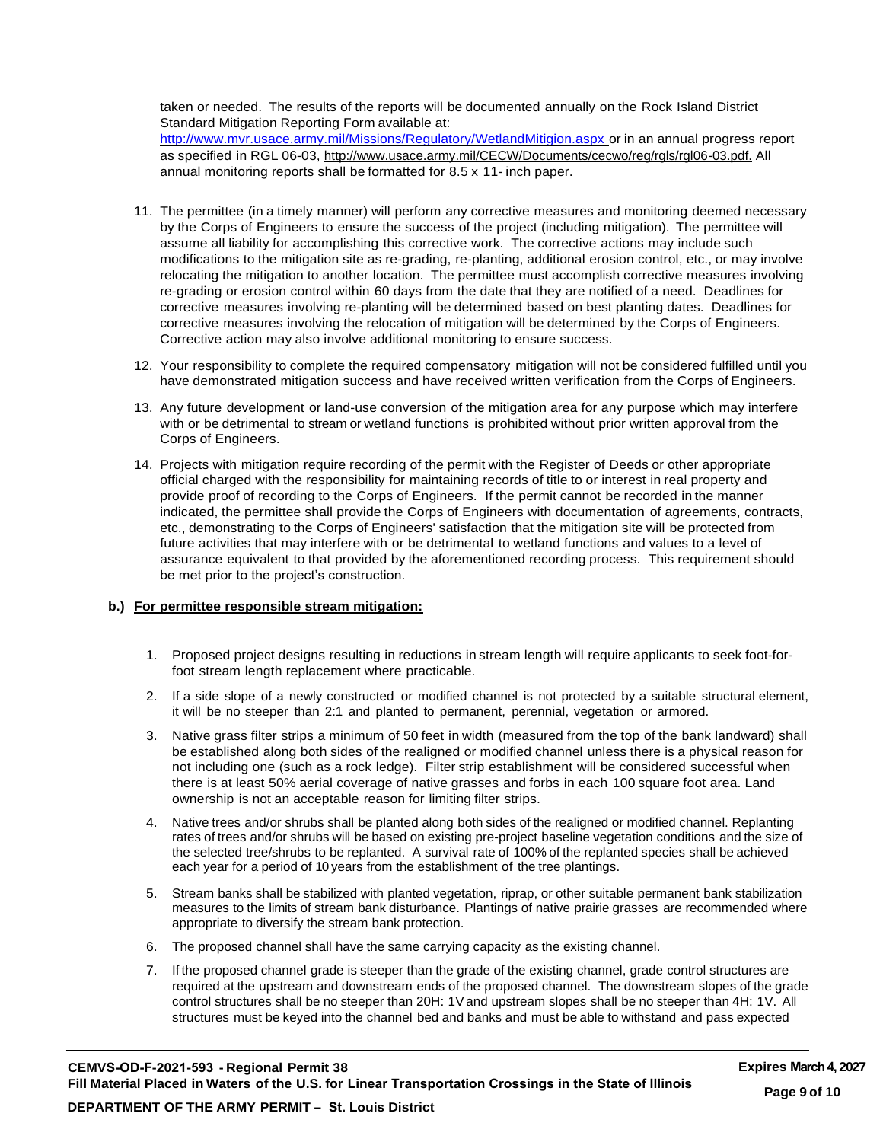taken or needed. The results of the reports will be documented annually on the Rock Island District Standard Mitigation Reporting Form available at: <http://www.mvr.usace.army.mil/Missions/Regulatory/WetlandMitigion.aspx> or in an annual progress report as specified in RGL 06-03, [http://www.usace.army.mil/CECW/Documents/cecwo/reg/rgls/rgl06-03.pdf.](http://www.usace.army.mil/CECW/Documents/cecwo/reg/rgls/rgl06-03.pdf) All annual monitoring reports shall be formatted for 8.5 x 11- inch paper.

- 11. The permittee (in a timely manner) will perform any corrective measures and monitoring deemed necessary by the Corps of Engineers to ensure the success of the project (including mitigation). The permittee will assume all liability for accomplishing this corrective work. The corrective actions may include such modifications to the mitigation site as re-grading, re-planting, additional erosion control, etc., or may involve relocating the mitigation to another location. The permittee must accomplish corrective measures involving re-grading or erosion control within 60 days from the date that they are notified of a need. Deadlines for corrective measures involving re-planting will be determined based on best planting dates. Deadlines for corrective measures involving the relocation of mitigation will be determined by the Corps of Engineers. Corrective action may also involve additional monitoring to ensure success.
- 12. Your responsibility to complete the required compensatory mitigation will not be considered fulfilled until you have demonstrated mitigation success and have received written verification from the Corps of Engineers.
- 13. Any future development or land-use conversion of the mitigation area for any purpose which may interfere with or be detrimental to stream or wetland functions is prohibited without prior written approval from the Corps of Engineers.
- 14. Projects with mitigation require recording of the permit with the Register of Deeds or other appropriate official charged with the responsibility for maintaining records of title to or interest in real property and provide proof of recording to the Corps of Engineers. If the permit cannot be recorded in the manner indicated, the permittee shall provide the Corps of Engineers with documentation of agreements, contracts, etc., demonstrating to the Corps of Engineers' satisfaction that the mitigation site will be protected from future activities that may interfere with or be detrimental to wetland functions and values to a level of assurance equivalent to that provided by the aforementioned recording process. This requirement should be met prior to the project's construction.

### **b.) For permittee responsible stream mitigation:**

- 1. Proposed project designs resulting in reductions in stream length will require applicants to seek foot-forfoot stream length replacement where practicable.
- 2. If a side slope of a newly constructed or modified channel is not protected by a suitable structural element, it will be no steeper than 2:1 and planted to permanent, perennial, vegetation or armored.
- 3. Native grass filter strips a minimum of 50 feet in width (measured from the top of the bank landward) shall be established along both sides of the realigned or modified channel unless there is a physical reason for not including one (such as a rock ledge). Filter strip establishment will be considered successful when there is at least 50% aerial coverage of native grasses and forbs in each 100 square foot area. Land ownership is not an acceptable reason for limiting filter strips.
- 4. Native trees and/or shrubs shall be planted along both sides of the realigned or modified channel. Replanting rates of trees and/or shrubs will be based on existing pre-project baseline vegetation conditions and the size of the selected tree/shrubs to be replanted. A survival rate of 100% of the replanted species shall be achieved each year for a period of 10 years from the establishment of the tree plantings.
- 5. Stream banks shall be stabilized with planted vegetation, riprap, or other suitable permanent bank stabilization measures to the limits of stream bank disturbance. Plantings of native prairie grasses are recommended where appropriate to diversify the stream bank protection.
- 6. The proposed channel shall have the same carrying capacity as the existing channel.
- 7. If the proposed channel grade is steeper than the grade of the existing channel, grade control structures are required at the upstream and downstream ends of the proposed channel. The downstream slopes of the grade control structures shall be no steeper than 20H: 1V and upstream slopes shall be no steeper than 4H: 1V. All structures must be keyed into the channel bed and banks and must be able to withstand and pass expected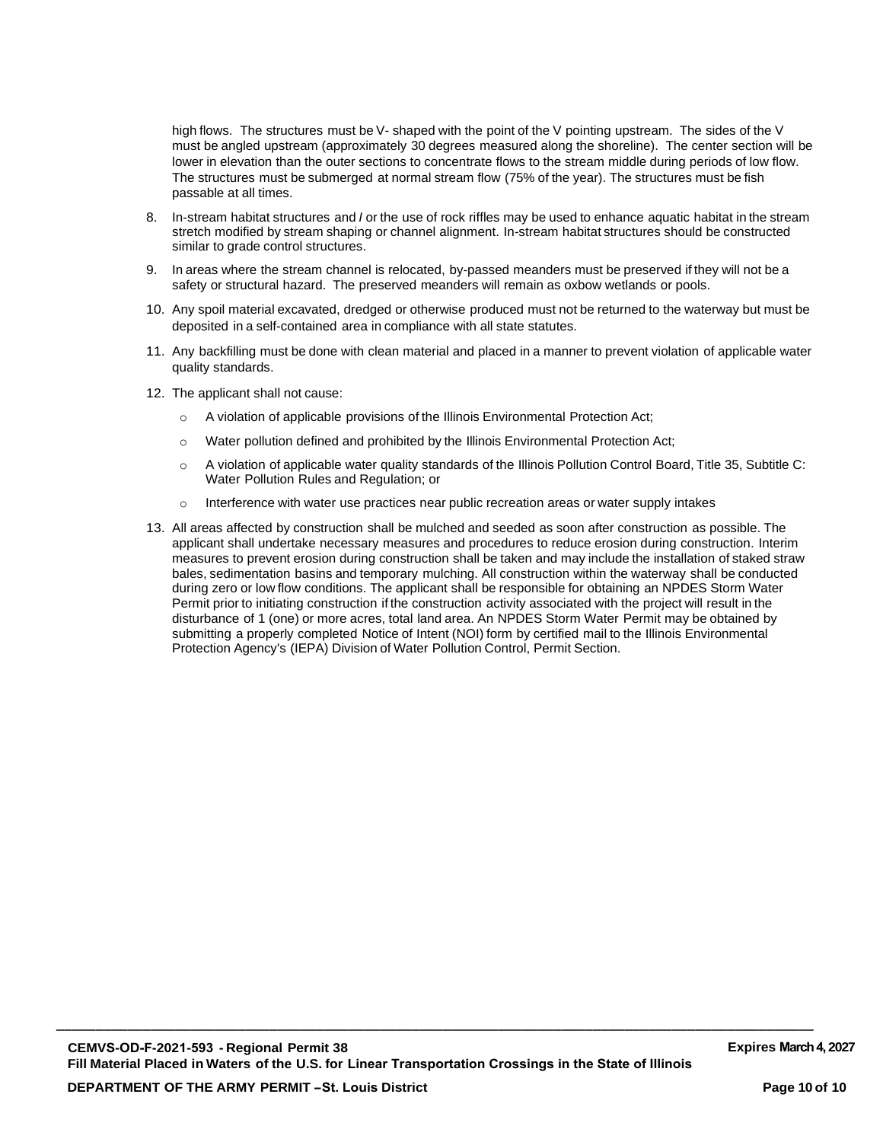high flows. The structures must be V- shaped with the point of the V pointing upstream. The sides of the V must be angled upstream (approximately 30 degrees measured along the shoreline). The center section will be lower in elevation than the outer sections to concentrate flows to the stream middle during periods of low flow. The structures must be submerged at normal stream flow (75% of the year). The structures must be fish passable at all times.

- 8. In-stream habitat structures and *I* or the use of rock riffles may be used to enhance aquatic habitat in the stream stretch modified by stream shaping or channel alignment. In-stream habitat structures should be constructed similar to grade control structures.
- 9. In areas where the stream channel is relocated, by-passed meanders must be preserved if they will not be a safety or structural hazard. The preserved meanders will remain as oxbow wetlands or pools.
- 10. Any spoil material excavated, dredged or otherwise produced must not be returned to the waterway but must be deposited in a self-contained area in compliance with all state statutes.
- 11. Any backfilling must be done with clean material and placed in a manner to prevent violation of applicable water quality standards.
- 12. The applicant shall not cause:
	- $\circ$  A violation of applicable provisions of the Illinois Environmental Protection Act;
	- $\circ$  Water pollution defined and prohibited by the Illinois Environmental Protection Act;
	- o A violation of applicable water quality standards of the Illinois Pollution Control Board, Title 35, Subtitle C: Water Pollution Rules and Regulation; or
	- $\circ$  Interference with water use practices near public recreation areas or water supply intakes
- 13. All areas affected by construction shall be mulched and seeded as soon after construction as possible. The applicant shall undertake necessary measures and procedures to reduce erosion during construction. Interim measures to prevent erosion during construction shall be taken and may include the installation of staked straw bales, sedimentation basins and temporary mulching. All construction within the waterway shall be conducted during zero or low flow conditions. The applicant shall be responsible for obtaining an NPDES Storm Water Permit prior to initiating construction if the construction activity associated with the project will result in the disturbance of 1 (one) or more acres, total land area. An NPDES Storm Water Permit may be obtained by submitting a properly completed Notice of Intent (NOI) form by certified mail to the Illinois Environmental Protection Agency's (IEPA) Division of Water Pollution Control, Permit Section.

\_\_\_\_\_\_\_\_\_\_\_\_\_\_\_\_\_\_\_\_\_\_\_\_\_\_\_\_\_\_\_\_\_\_\_\_\_\_\_\_\_\_\_\_\_\_\_\_\_\_\_\_\_\_\_\_\_\_\_\_\_\_\_\_\_\_\_\_\_\_\_\_\_\_\_\_\_\_\_\_\_\_\_\_\_\_\_\_\_\_\_\_\_\_\_\_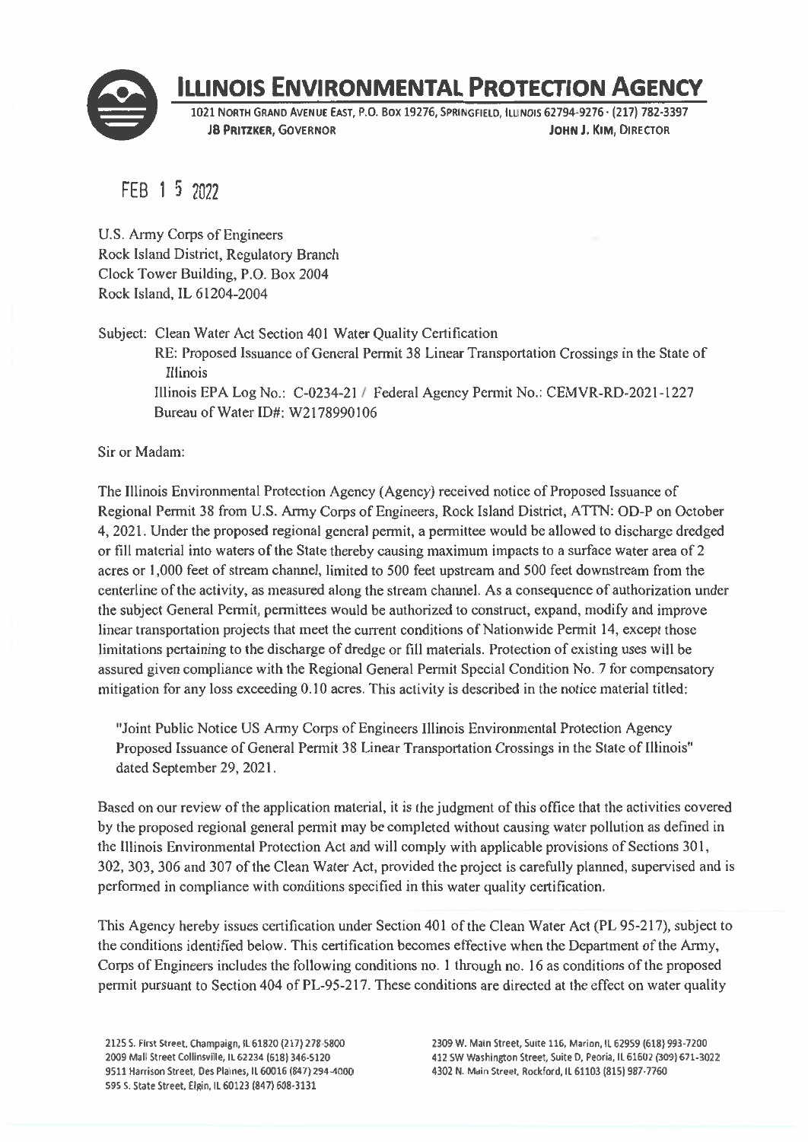

# **ILLINOIS ENVIRONMENTAL PROTECTION AGENCY**

1021 NORTH GRAND AVENUE EAST, P.O. BOX 19276, SPRINGFIELD, ILLINOIS 62794-9276 · (217) 782-3397 **JB PRITZKER, GOVERNOR** JOHN J. KIM, DIRECTOR

FEB 1 5 2022

U.S. Army Corps of Engineers Rock Island District, Regulatory Branch Clock Tower Building, P.O. Box 2004 Rock Island, IL 61204-2004

Subject: Clean Water Act Section 401 Water Quality Certification RE: Proposed Issuance of General Permit 38 Linear Transportation Crossings in the State of Illinois Illinois EPA Log No.: C-0234-21 / Federal Agency Permit No.: CEMVR-RD-2021-1227 Bureau of Water ID#: W2178990106

Sir or Madam:

The Illinois Environmental Protection Agency (Agency) received notice of Proposed Issuance of Regional Permit 38 from U.S. Army Corps of Engineers, Rock Island District, ATTN: OD-P on October 4, 2021. Under the proposed regional general permit, a permittee would be allowed to discharge dredged or fill material into waters of the State thereby causing maximum impacts to a surface water area of 2 acres or 1,000 feet of stream channel, limited to 500 feet upstream and 500 feet downstream from the centerline of the activity, as measured along the stream channel. As a consequence of authorization under the subject General Permit, permittees would be authorized to construct, expand, modify and improve linear transportation projects that meet the current conditions of Nationwide Permit 14, except those limitations pertaining to the discharge of dredge or fill materials. Protection of existing uses will be assured given compliance with the Regional General Permit Special Condition No. 7 for compensatory mitigation for any loss exceeding 0.10 acres. This activity is described in the notice material titled:

"Joint Public Notice US Army Corps of Engineers Illinois Environmental Protection Agency Proposed Issuance of General Permit 38 Linear Transportation Crossings in the State of Illinois" dated September 29, 2021.

Based on our review of the application material, it is the judgment of this office that the activities covered by the proposed regional general permit may be completed without causing water pollution as defined in the Illinois Environmental Protection Act and will comply with applicable provisions of Sections 301, 302, 303, 306 and 307 of the Clean Water Act, provided the project is carefully planned, supervised and is performed in compliance with conditions specified in this water quality certification.

This Agency hereby issues certification under Section 401 of the Clean Water Act (PL 95-217), subject to the conditions identified below. This certification becomes effective when the Department of the Army, Corps of Engineers includes the following conditions no. 1 through no. 16 as conditions of the proposed permit pursuant to Section 404 of PL-95-217. These conditions are directed at the effect on water quality

2125 S. First Street, Champaign, IL 61820 (217) 278-5800 2009 Mall Street Collinsville, IL 62234 (618) 346-5120 9511 Harrison Street, Des Plaines, IL 60016 (847) 294-4000 595 S. State Street, Elgin, IL 60123 (847) 608-3131

2309 W. Main Street, Suite 116, Marion, IL 62959 (618) 993-7200 412 SW Washington Street, Suite D, Peoria, IL 61602 (309) 671-3022 4302 N. Main Street, Rockford, IL 61103 (815) 987-7760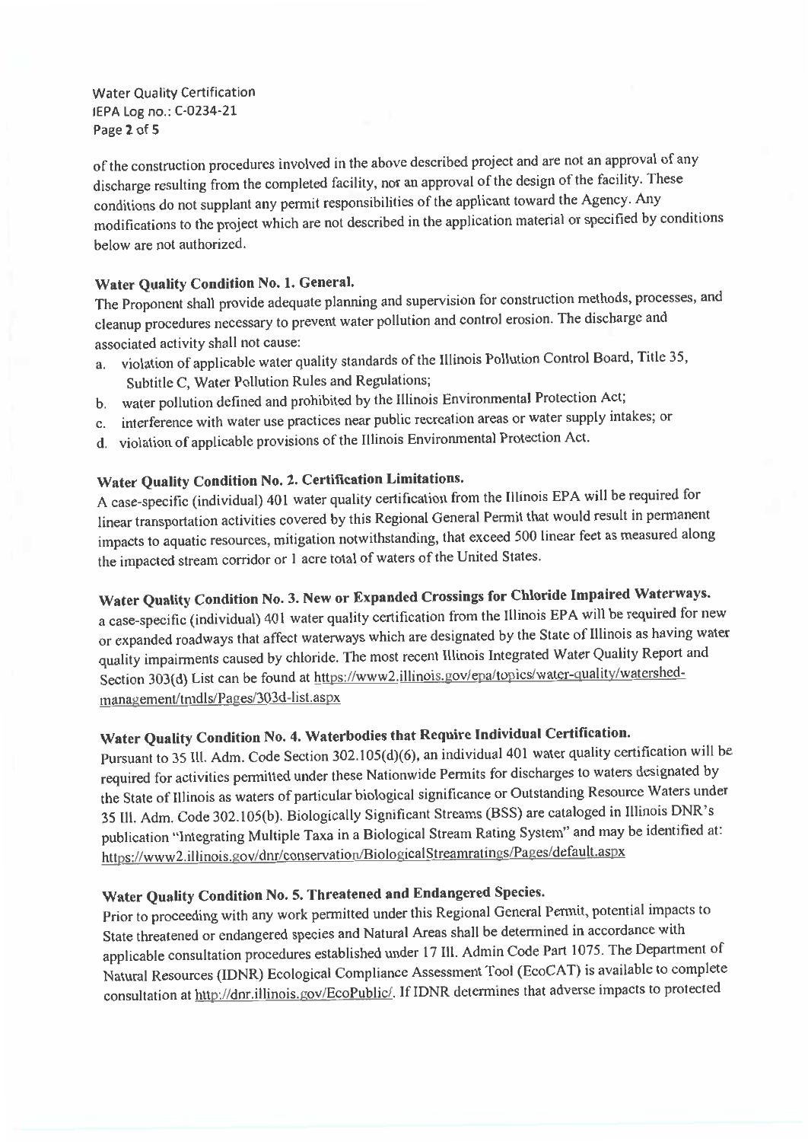**Water Quality Certification** IEPA Log no.: C-0234-21 Page 2 of 5

of the construction procedures involved in the above described project and are not an approval of any discharge resulting from the completed facility, nor an approval of the design of the facility. These conditions do not supplant any permit responsibilities of the applicant toward the Agency. Any modifications to the project which are not described in the application material or specified by conditions below are not authorized.

### Water Quality Condition No. 1. General.

The Proponent shall provide adequate planning and supervision for construction methods, processes, and cleanup procedures necessary to prevent water pollution and control erosion. The discharge and associated activity shall not cause:

- a. violation of applicable water quality standards of the Illinois Pollution Control Board, Title 35, Subtitle C, Water Pollution Rules and Regulations;
- b. water pollution defined and prohibited by the Illinois Environmental Protection Act;
- c. interference with water use practices near public recreation areas or water supply intakes; or
- d. violation of applicable provisions of the Illinois Environmental Protection Act.

# Water Quality Condition No. 2. Certification Limitations.

A case-specific (individual) 401 water quality certification from the Illinois EPA will be required for linear transportation activities covered by this Regional General Permit that would result in permanent impacts to aquatic resources, mitigation notwithstanding, that exceed 500 linear feet as measured along the impacted stream corridor or 1 acre total of waters of the United States.

# Water Quality Condition No. 3. New or Expanded Crossings for Chloride Impaired Waterways.

a case-specific (individual) 401 water quality certification from the Illinois EPA will be required for new or expanded roadways that affect waterways which are designated by the State of Illinois as having water quality impairments caused by chloride. The most recent Illinois Integrated Water Quality Report and Section 303(d) List can be found at https://www2.illinois.gov/epa/topics/water-quality/watershedmanagement/tmdls/Pages/303d-list.aspx

# Water Quality Condition No. 4. Waterbodies that Require Individual Certification.

Pursuant to 35 Ill. Adm. Code Section 302.105(d)(6), an individual 401 water quality certification will be required for activities permitted under these Nationwide Permits for discharges to waters designated by the State of Illinois as waters of particular biological significance or Outstanding Resource Waters under 35 Ill. Adm. Code 302.105(b). Biologically Significant Streams (BSS) are cataloged in Illinois DNR's publication "Integrating Multiple Taxa in a Biological Stream Rating System" and may be identified at: https://www2.illinois.gov/dnr/conservation/BiologicalStreamratings/Pages/default.aspx

# Water Quality Condition No. 5. Threatened and Endangered Species.

Prior to proceeding with any work permitted under this Regional General Permit, potential impacts to State threatened or endangered species and Natural Areas shall be determined in accordance with applicable consultation procedures established under 17 III. Admin Code Part 1075. The Department of Natural Resources (IDNR) Ecological Compliance Assessment Tool (EcoCAT) is available to complete consultation at http://dnr.illinois.gov/EcoPublic/. If IDNR determines that adverse impacts to protected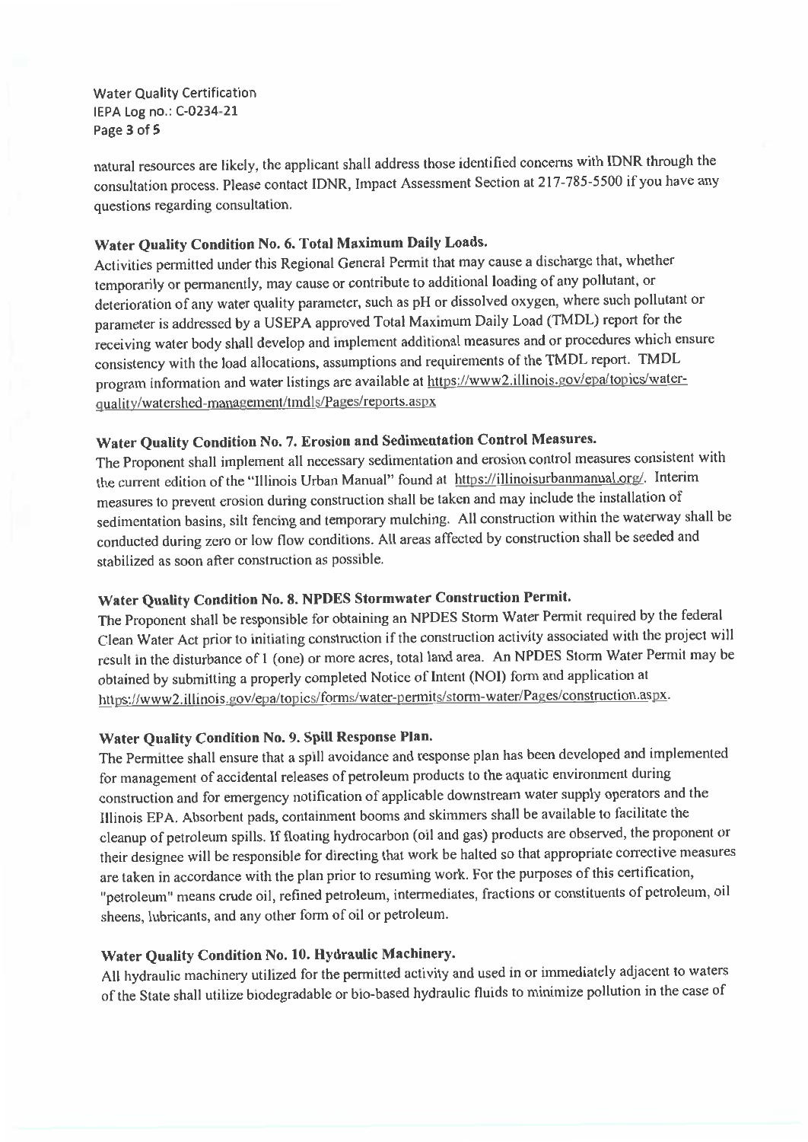**Water Quality Certification** IEPA Log no.: C-0234-21 Page 3 of 5

natural resources are likely, the applicant shall address those identified concerns with IDNR through the consultation process. Please contact IDNR, Impact Assessment Section at 217-785-5500 if you have any questions regarding consultation.

## Water Quality Condition No. 6. Total Maximum Daily Loads.

Activities permitted under this Regional General Permit that may cause a discharge that, whether temporarily or permanently, may cause or contribute to additional loading of any pollutant, or deterioration of any water quality parameter, such as pH or dissolved oxygen, where such pollutant or parameter is addressed by a USEPA approved Total Maximum Daily Load (TMDL) report for the receiving water body shall develop and implement additional measures and or procedures which ensure consistency with the load allocations, assumptions and requirements of the TMDL report. TMDL program information and water listings are available at https://www2.illinois.gov/epa/topics/waterquality/watershed-management/tmdls/Pages/reports.aspx

## Water Quality Condition No. 7. Erosion and Sedimentation Control Measures.

The Proponent shall implement all necessary sedimentation and erosion control measures consistent with the current edition of the "Illinois Urban Manual" found at https://illinoisurbanmanual.org/. Interim measures to prevent erosion during construction shall be taken and may include the installation of sedimentation basins, silt fencing and temporary mulching. All construction within the waterway shall be conducted during zero or low flow conditions. All areas affected by construction shall be seeded and stabilized as soon after construction as possible.

## Water Quality Condition No. 8. NPDES Stormwater Construction Permit.

The Proponent shall be responsible for obtaining an NPDES Storm Water Permit required by the federal Clean Water Act prior to initiating construction if the construction activity associated with the project will result in the disturbance of 1 (one) or more acres, total land area. An NPDES Storm Water Permit may be obtained by submitting a properly completed Notice of Intent (NOI) form and application at https://www2.illinois.gov/epa/topics/forms/water-permits/storm-water/Pages/construction.aspx.

### Water Quality Condition No. 9. Spill Response Plan.

The Permittee shall ensure that a spill avoidance and response plan has been developed and implemented for management of accidental releases of petroleum products to the aquatic environment during construction and for emergency notification of applicable downstream water supply operators and the Illinois EPA. Absorbent pads, containment booms and skimmers shall be available to facilitate the cleanup of petroleum spills. If floating hydrocarbon (oil and gas) products are observed, the proponent or their designee will be responsible for directing that work be halted so that appropriate corrective measures are taken in accordance with the plan prior to resuming work. For the purposes of this certification, "petroleum" means crude oil, refined petroleum, intermediates, fractions or constituents of petroleum, oil sheens, lubricants, and any other form of oil or petroleum.

### Water Quality Condition No. 10. Hydraulic Machinery.

All hydraulic machinery utilized for the permitted activity and used in or immediately adjacent to waters of the State shall utilize biodegradable or bio-based hydraulic fluids to minimize pollution in the case of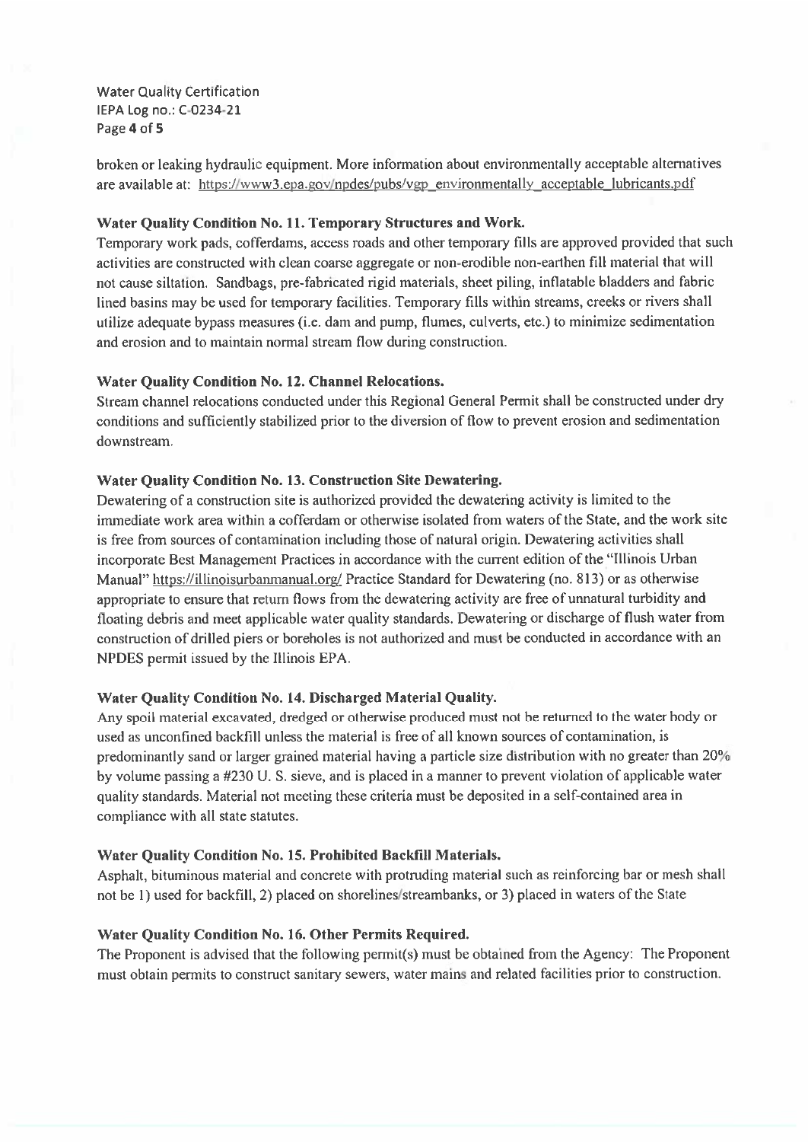**Water Quality Certification** IEPA Log no.: C-0234-21 Page 4 of 5

broken or leaking hydraulic equipment. More information about environmentally acceptable alternatives are available at: https://www3.epa.gov/npdes/pubs/vgp\_environmentally\_acceptable\_lubricants.pdf

### Water Quality Condition No. 11. Temporary Structures and Work.

Temporary work pads, cofferdams, access roads and other temporary fills are approved provided that such activities are constructed with clean coarse aggregate or non-erodible non-earthen fill material that will not cause siltation. Sandbags, pre-fabricated rigid materials, sheet piling, inflatable bladders and fabric lined basins may be used for temporary facilities. Temporary fills within streams, creeks or rivers shall utilize adequate bypass measures (i.e. dam and pump, flumes, culverts, etc.) to minimize sedimentation and erosion and to maintain normal stream flow during construction.

### **Water Quality Condition No. 12. Channel Relocations.**

Stream channel relocations conducted under this Regional General Permit shall be constructed under dry conditions and sufficiently stabilized prior to the diversion of flow to prevent erosion and sedimentation downstream.

### Water Quality Condition No. 13. Construction Site Dewatering.

Dewatering of a construction site is authorized provided the dewatering activity is limited to the immediate work area within a cofferdam or otherwise isolated from waters of the State, and the work site is free from sources of contamination including those of natural origin. Dewatering activities shall incorporate Best Management Practices in accordance with the current edition of the "Illinois Urban" Manual" https://illinoisurbanmanual.org/ Practice Standard for Dewatering (no. 813) or as otherwise appropriate to ensure that return flows from the dewatering activity are free of unnatural turbidity and floating debris and meet applicable water quality standards. Dewatering or discharge of flush water from construction of drilled piers or boreholes is not authorized and must be conducted in accordance with an NPDES permit issued by the Illinois EPA.

### Water Quality Condition No. 14. Discharged Material Quality.

Any spoil material excavated, dredged or otherwise produced must not be returned to the water body or used as unconfined backfill unless the material is free of all known sources of contamination, is predominantly sand or larger grained material having a particle size distribution with no greater than 20% by volume passing a #230 U.S. sieve, and is placed in a manner to prevent violation of applicable water quality standards. Material not meeting these criteria must be deposited in a self-contained area in compliance with all state statutes.

### Water Quality Condition No. 15. Prohibited Backfill Materials.

Asphalt, bituminous material and concrete with protruding material such as reinforcing bar or mesh shall not be 1) used for backfill, 2) placed on shorelines/streambanks, or 3) placed in waters of the State

### Water Quality Condition No. 16. Other Permits Required.

The Proponent is advised that the following permit(s) must be obtained from the Agency: The Proponent must obtain permits to construct sanitary sewers, water mains and related facilities prior to construction.